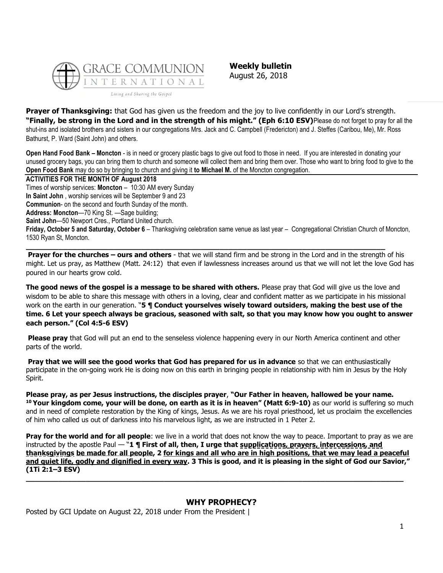

**Weekly bulletin** August 26, 2018

**Prayer of Thanksgiving:** that God has given us the freedom and the joy to live confidently in our Lord's strength. **"Finally, be strong in the Lord and in the strength of his might." (Eph 6:10 ESV)**Please do not forget to pray for all the shut-ins and isolated brothers and sisters in our congregations Mrs. Jack and C. Campbell (Fredericton) and J. Steffes (Caribou, Me), Mr. Ross Bathurst, P. Ward (Saint John) and others.

**Open Hand Food Bank – Moncton** - is in need or grocery plastic bags to give out food to those in need. If you are interested in donating your unused grocery bags, you can bring them to church and someone will collect them and bring them over. Those who want to bring food to give to the **Open Food Bank** may do so by bringing to church and giving it **to Michael M.** of the Moncton congregation.

**ACTIVITIES FOR THE MONTH OF August 2018** Times of worship services: **Moncton** – 10:30 AM every Sunday **In Saint John** , worship services will be September 9 and 23 **Communion**- on the second and fourth Sunday of the month. **Address: Moncton**—70 King St. —Sage building; **Saint John**—50 Newport Cres., Portland United church. **Friday, October 5 and Saturday, October 6** – Thanksgiving celebration same venue as last year – Congregational Christian Church of Moncton, 1530 Ryan St, Moncton. **\_\_\_\_\_\_\_\_\_\_\_\_\_\_\_\_\_\_\_\_\_\_\_\_\_\_\_\_\_\_\_\_\_\_\_\_\_\_\_\_\_\_\_\_\_\_\_\_\_\_\_\_\_\_\_\_\_\_\_\_\_\_\_\_\_\_\_\_\_\_\_\_\_\_\_\_\_\_**

**Prayer for the churches – ours and others** - that we will stand firm and be strong in the Lord and in the strength of his might. Let us pray, as Matthew (Matt. 24:12) that even if lawlessness increases around us that we will not let the love God has poured in our hearts grow cold.

**The good news of the gospel is a message to be shared with others.** Please pray that God will give us the love and wisdom to be able to share this message with others in a loving, clear and confident matter as we participate in his missional work on the earth in our generation. "**5 ¶ Conduct yourselves wisely toward outsiders, making the best use of the time. 6 Let your speech always be gracious, seasoned with salt, so that you may know how you ought to answer each person." (Col 4:5-6 ESV)**

**Please pray** that God will put an end to the senseless violence happening every in our North America continent and other parts of the world.

**Pray that we will see the good works that God has prepared for us in advance** so that we can enthusiastically participate in the on-going work He is doing now on this earth in bringing people in relationship with him in Jesus by the Holy Spirit.

**Please pray, as per Jesus instructions, the disciples prayer**, **"Our Father in heaven, hallowed be your name. <sup>10</sup> Your kingdom come, your will be done, on earth as it is in heaven" (Matt 6:9-10)** as our world is suffering so much and in need of complete restoration by the King of kings, Jesus. As we are his royal priesthood, let us proclaim the excellencies of him who called us out of darkness into his marvelous light, as we are instructed in 1 Peter 2.

**Pray for the world and for all people**: we live in a world that does not know the way to peace. Important to pray as we are instructed by the apostle Paul — "**1 ¶ First of all, then, I urge that supplications, prayers, intercessions, and thanksgivings be made for all people, 2 for kings and all who are in high positions, that we may lead a peaceful and quiet life, godly and dignified in every way. 3 This is good, and it is pleasing in the sight of God our Savior," (1Ti 2:1–3 ESV) \_\_\_\_\_\_\_\_\_\_\_\_\_\_\_\_\_\_\_\_\_\_\_\_\_\_\_\_\_\_\_\_\_\_\_\_\_\_\_\_\_\_\_\_\_\_\_\_\_\_\_\_\_\_\_\_\_\_\_\_\_\_\_\_\_\_\_\_\_\_\_\_\_\_\_\_\_\_\_\_\_\_**

# **[WHY PROPHECY?](https://update.gci.org/2018/08/why-prophecy-2/)**

Posted by GCI Update on August 22, 2018 under [From the President](https://update.gci.org/category/president/) |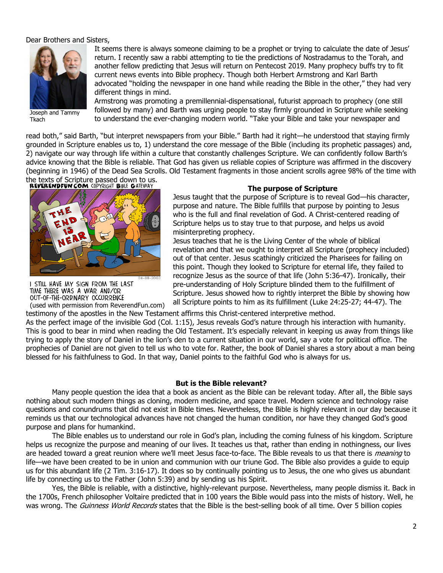## Dear Brothers and Sisters,



Joseph and Tammy Tkach

It seems there is always someone claiming to be a prophet or trying to calculate the date of Jesus' return. I recently saw a rabbi attempting to tie the predictions of Nostradamus to the Torah, and another fellow predicting that Jesus will return on Pentecost 2019. Many prophecy buffs try to fit current news events into Bible prophecy. Though both Herbert Armstrong and Karl Barth advocated "holding the newspaper in one hand while reading the Bible in the other," they had very different things in mind.

Armstrong was promoting a premillennial-dispensational, futurist approach to prophecy (one still followed by many) and Barth was urging people to stay firmly grounded in Scripture while seeking to understand the ever-changing modern world. "Take your Bible and take your newspaper and

read both," said Barth, "but interpret newspapers from your Bible." Barth had it right—he understood that staying firmly grounded in Scripture enables us to, 1) understand the core message of the Bible (including its prophetic passages) and, 2) navigate our way through life within a culture that constantly challenges Scripture. We can confidently follow Barth's advice knowing that the Bible is reliable. That God has given us reliable copies of Scripture was affirmed in the discovery (beginning in 1946) of the Dead Sea Scrolls. Old Testament fragments in those ancient scrolls agree 98% of the time with

the texts of Scripture passed down to us.<br>**REVERENDFUN.COM** COPYRIGHT BIFLE GATEWAY



I STILL HAVE MY SIGN FROM THE LAST TIME THERE WAS A WAR AND/OR OUT-OF-THE-ORDINARY OCCURRENCE (used with permission from ReverendFun.com)

#### **The purpose of Scripture**

Jesus taught that the purpose of Scripture is to reveal God—his character, purpose and nature. The Bible fulfills that purpose by pointing to Jesus who is the full and final revelation of God. A Christ-centered reading of Scripture helps us to stay true to that purpose, and helps us avoid misinterpreting prophecy.

Jesus teaches that he is the Living Center of the whole of biblical revelation and that we ought to interpret all Scripture (prophecy included) out of that center. Jesus scathingly criticized the Pharisees for failing on this point. Though they looked to Scripture for eternal life, they failed to recognize Jesus as the source of that life [\(John 5:36-47\)](https://biblia.com/bible/niv/John%205.36-47). Ironically, their pre-understanding of Holy Scripture blinded them to the fulfillment of Scripture. Jesus showed how to rightly interpret the Bible by showing how all Scripture points to him as its fulfillment [\(Luke 24:25-27;](https://biblia.com/bible/niv/Luke%2024.25-27) [44-47\)](https://biblia.com/bible/niv/Luke%2024.44-47). The

testimony of the apostles in the New Testament affirms this Christ-centered interpretive method.

As the perfect image of the invisible God [\(Col. 1:15](https://biblia.com/bible/niv/Col.%201.15)), Jesus reveals God's nature through his interaction with humanity. This is good to bear in mind when reading the Old Testament. It's especially relevant in keeping us away from things like trying to apply the story of Daniel in the lion's den to a current situation in our world, say a vote for political office. The prophecies of Daniel are not given to tell us who to vote for. Rather, the book of Daniel shares a story about a man being blessed for his faithfulness to God. In that way, Daniel points to the faithful God who is always for us.

## **But is the Bible relevant?**

Many people question the idea that a book as ancient as the Bible can be relevant today. After all, the Bible says nothing about such modern things as cloning, modern medicine, and space travel. Modern science and technology raise questions and conundrums that did not exist in Bible times. Nevertheless, the Bible is highly relevant in our day because it reminds us that our technological advances have not changed the human condition, nor have they changed God's good purpose and plans for humankind.

The Bible enables us to understand our role in God's plan, including the coming fulness of his kingdom. Scripture helps us recognize the purpose and meaning of our lives. It teaches us that, rather than ending in nothingness, our lives are headed toward a great reunion where we'll meet Jesus face-to-face. The Bible reveals to us that there is *meaning* to life—we have been created to be in union and communion with our triune God. The Bible also provides a guide to equip us for this abundant life [\(2 Tim. 3:16-17\)](https://biblia.com/bible/niv/2%20Tim.%203.16-17). It does so by continually pointing us to Jesus, the one who gives us abundant life by connecting us to the Father [\(John 5:39\)](https://biblia.com/bible/niv/John%205.39) and by sending us his Spirit.

Yes, the Bible is reliable, with a distinctive, highly-relevant purpose. Nevertheless, many people dismiss it. Back in the 1700s, French philosopher Voltaire predicted that in 100 years the Bible would pass into the mists of history. Well, he was wrong. The Guinness World Records states that the Bible is the best-selling book of all time. Over 5 billion copies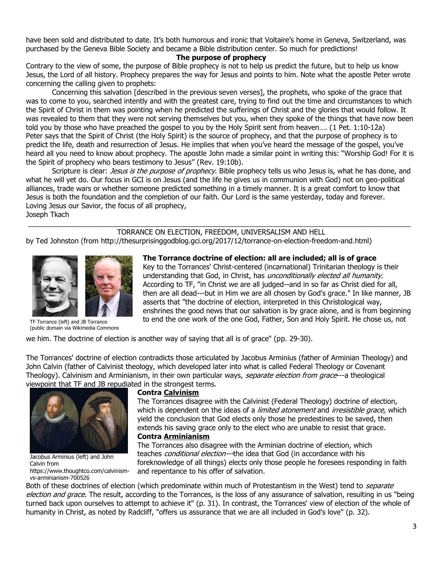have been sold and distributed to date. It's both humorous and ironic that Voltaire's home in Geneva, Switzerland, was purchased by the Geneva Bible Society and became a Bible distribution center. So much for predictions!

### **The purpose of prophecy**

Contrary to the view of some, the purpose of Bible prophecy is not to help us predict the future, but to help us know Jesus, the Lord of all history. Prophecy prepares the way for Jesus and points to him. Note what the apostle Peter wrote concerning the calling given to prophets:

Concerning this salvation [described in the previous seven verses], the prophets, who spoke of the grace that was to come to you, searched intently and with the greatest care, trying to find out the time and circumstances to which the Spirit of Christ in them was pointing when he predicted the sufferings of Christ and the glories that would follow. It was revealed to them that they were not serving themselves but you, when they spoke of the things that have now been told you by those who have preached the gospel to you by the Holy Spirit sent from heaven…. ([1 Pet. 1:10-12a\)](https://biblia.com/bible/niv/1%20Pet.%201.10-12a) Peter says that the Spirit of Christ (the Holy Spirit) is the source of prophecy, and that the purpose of prophecy is to predict the life, death and resurrection of Jesus. He implies that when you've heard the message of the gospel, you've heard all you need to know about prophecy. The apostle John made a similar point in writing this: "Worship God! For it is the Spirit of prophecy who bears testimony to Jesus" ([Rev. 19:10b\)](https://biblia.com/bible/niv/Rev.%2019.10b).

Scripture is clear: Jesus is the purpose of prophecy. Bible prophecy tells us who Jesus is, what he has done, and what he will yet do. Our focus in GCI is on Jesus (and the life he gives us in communion with God) not on geo-political alliances, trade wars or whether someone predicted something in a timely manner. It is a great comfort to know that Jesus is both the foundation and the completion of our faith. Our Lord is the same yesterday, today and forever. Loving Jesus our Savior, the focus of all prophecy, Joseph Tkach

## \_\_\_\_\_\_\_\_\_\_\_\_\_\_\_\_\_\_\_\_\_\_\_\_\_\_\_\_\_\_\_\_\_\_\_\_\_\_\_\_\_\_\_\_\_\_\_\_\_\_\_\_\_\_\_\_\_\_\_\_\_\_\_\_\_\_\_\_\_\_\_\_\_\_\_\_\_\_\_\_\_\_\_\_\_\_\_\_\_\_\_\_\_\_\_\_\_ TORRANCE ON ELECTION, FREEDOM, UNIVERSALISM AND HELL

by Ted Johnston (from http://thesurprisinggodblog.gci.org/2017/12/torrance-on-election-freedom-and.html)



TF Torrance (left) and JB Torrance (public domain via Wikimedia Commons

**The Torrance doctrine of election: all are included; all is of grace**

Key to the Torrances' Christ-centered (incarnational) Trinitarian theology is their understanding that God, in Christ, has *unconditionally elected all humanity*. According to TF, "in Christ we are all judged--and in so far as Christ died for all, then are all dead---but in Him we are all chosen by God's grace." In like manner, JB asserts that "the doctrine of election, interpreted in this Christological way, enshrines the good news that our salvation is by grace alone, and is from beginning to end the one work of the one God, Father, Son and Holy Spirit. He chose us, not

we him. The doctrine of election is another way of saying that all is of grace" (pp. 29-30).

The Torrances' doctrine of election contradicts those articulated by Jacobus Arminius (father of Arminian Theology) and John Calvin (father of Calvinist theology, which developed later into what is called Federal Theology or Covenant Theology). Calvinism and Arminianism, in their own particular ways, separate election from grace--a theological v[iewpoint that TF and JB repudia](https://3.bp.blogspot.com/-MvS_cW6LEk8/WkaNU2_BwJI/AAAAAAAAD8k/rj3mZ1S31WcdoD9C3UC4PCZN5PnQ9XC2ACLcBGAs/s1600/Arminius+and+Calvin.jpg)ted in the strongest terms.



Jacobus Arminius (left) and John Calvin from https://www.thoughtco.com/calvinismvs-arminianism-700526

#### **Contra [Calvinism](https://en.wikipedia.org/wiki/Calvinism)**

The Torrances disagree with the Calvinist (Federal Theology) doctrine of election, which is dependent on the ideas of a *limited atonement* and *irresistible grace*, which yield the conclusion that God elects only those he predestines to be saved, then extends his saving grace only to the elect who are unable to resist that grace. **Contra [Arminianism](https://en.wikipedia.org/wiki/Arminianism)**

The Torrances also disagree with the Arminian doctrine of election, which teaches *conditional election---*the idea that God (in accordance with his foreknowledge of all things) elects only those people he foresees responding in faith and repentance to his offer of salvation.

Both of these doctrines of election (which predominate within much of Protestantism in the West) tend to *separate* election and grace. The result, according to the Torrances, is the loss of any assurance of salvation, resulting in us "being turned back upon ourselves to attempt to achieve it" (p. 31). In contrast, the Torrances' view of election of the whole of humanity in Christ, as noted by Radcliff, "offers us assurance that we are all included in God's love" (p. 32).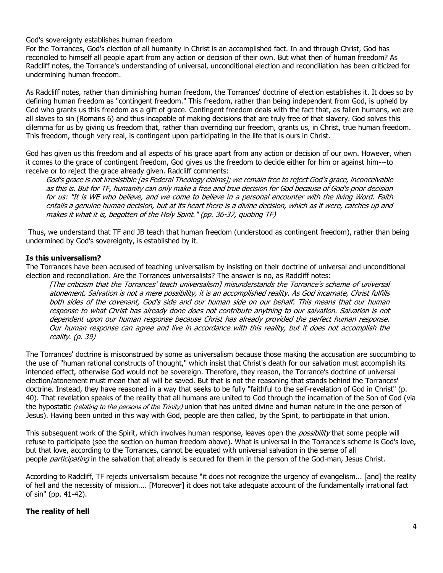God's sovereignty establishes human freedom

For the Torrances, God's election of all humanity in Christ is an accomplished fact. In and through Christ, God has reconciled to himself all people apart from any action or decision of their own. But what then of human freedom? As Radcliff notes, the Torrance's understanding of universal, unconditional election and reconciliation has been criticized for undermining human freedom.

As Radcliff notes, rather than diminishing human freedom, the Torrances' doctrine of election establishes it. It does so by defining human freedom as "contingent freedom." This freedom, rather than being independent from God, is upheld by God who grants us this freedom as a gift of grace. Contingent freedom deals with the fact that, as fallen humans, we are all slaves to sin (Romans 6) and thus incapable of making decisions that are truly free of that slavery. God solves this dilemma for us by giving us freedom that, rather than overriding our freedom, grants us, in Christ, true human freedom. This freedom, though very real, is contingent upon participating in the life that is ours in Christ.

God has given us this freedom and all aspects of his grace apart from any action or decision of our own. However, when it comes to the grace of contingent freedom, God gives us the freedom to decide either for him or against him---to receive or to reject the grace already given. Radcliff comments:

God's grace is not irresistible [as Federal Theology claims]; we remain free to reject God's grace, inconceivable as this is. But for TF, humanity can only make a free and true decision for God because of God's prior decision for us: "It is WE who believe, and we come to believe in a personal encounter with the living Word. Faith entails a genuine human decision, but at its heart there is a divine decision, which as it were, catches up and makes it what it is, begotten of the Holy Spirit." (pp. 36-37, quoting TF)

Thus, we understand that TF and JB teach that human freedom (understood as contingent freedom), rather than being undermined by God's sovereignty, is established by it.

# **Is this universalism?**

The Torrances have been accused of teaching universalism by insisting on their doctrine of universal and unconditional election and reconciliation. Are the Torrances universalists? The answer is no, as Radcliff notes:

[The criticism that the Torrances' teach universalism] misunderstands the Torrance's scheme of universal atonement. Salvation is not a mere possibility, it is an accomplished reality. As God incarnate, Christ fulfills both sides of the covenant, God's side and our human side on our behalf. This means that our human response to what Christ has already done does not contribute anything to our salvation. Salvation is not dependent upon our human response because Christ has already provided the perfect human response. Our human response can agree and live in accordance with this reality, but it does not accomplish the reality. (p. 39)

The Torrances' doctrine is misconstrued by some as universalism because those making the accusation are succumbing to the use of "human rational constructs of thought," which insist that Christ's death for our salvation must accomplish its intended effect, otherwise God would not be sovereign. Therefore, they reason, the Torrance's doctrine of universal election/atonement must mean that all will be saved. But that is not the reasoning that stands behind the Torrances' doctrine. Instead, they have reasoned in a way that seeks to be fully "faithful to the self-revelation of God in Christ" (p. 40). That revelation speaks of the reality that all humans are united to God through the incarnation of the Son of God (via the hypostatic *(relating to the persons of the Trinity*) union that has united divine and human nature in the one person of Jesus). Having been united in this way with God, people are then called, by the Spirit, to participate in that union.

This subsequent work of the Spirit, which involves human response, leaves open the *possibility* that some people will refuse to participate (see the section on human freedom above). What is universal in the Torrance's scheme is God's love, but that love, according to the Torrances, cannot be equated with universal salvation in the sense of all people *participating* in the salvation that already is secured for them in the person of the God-man, Jesus Christ.

According to Radcliff, TF rejects universalism because "it does not recognize the urgency of evangelism... [and] the reality of hell and the necessity of mission.... [Moreover] it does not take adequate account of the fundamentally irrational fact of sin" (pp. 41-42).

# **The reality of hell**